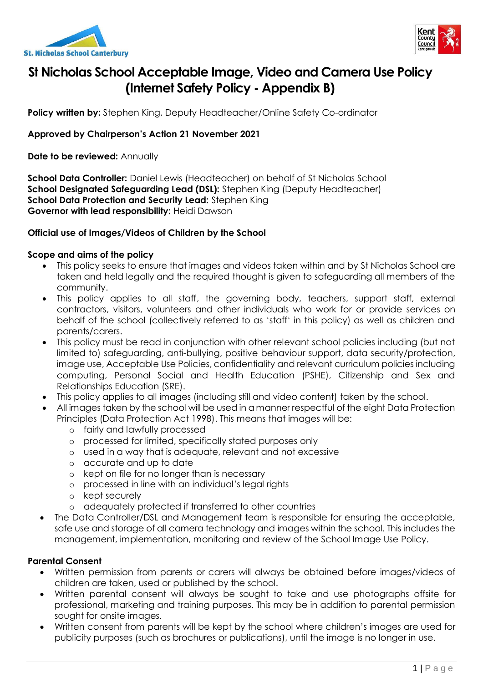



# **St Nicholas School Acceptable Image, Video and Camera Use Policy (Internet Safety Policy - Appendix B)**

**Policy written by:** Stephen King, Deputy Headteacher/Online Safety Co-ordinator

### **Approved by Chairperson's Action 21 November 2021**

**Date to be reviewed:** Annually

**School Data Controller:** Daniel Lewis (Headteacher) on behalf of St Nicholas School **School Designated Safeguarding Lead (DSL):** Stephen King (Deputy Headteacher) **School Data Protection and Security Lead:** Stephen King **Governor with lead responsibility:** Heidi Dawson

#### **Official use of Images/Videos of Children by the School**

#### **Scope and aims of the policy**

- This policy seeks to ensure that images and videos taken within and by St Nicholas School are taken and held legally and the required thought is given to safeguarding all members of the community.
- This policy applies to all staff, the governing body, teachers, support staff, external contractors, visitors, volunteers and other individuals who work for or provide services on behalf of the school (collectively referred to as 'staff' in this policy) as well as children and parents/carers.
- This policy must be read in conjunction with other relevant school policies including (but not limited to) safeguarding, anti-bullying, positive behaviour support, data security/protection, image use, Acceptable Use Policies, confidentiality and relevant curriculum policies including computing, Personal Social and Health Education (PSHE), Citizenship and Sex and Relationships Education (SRE).
- This policy applies to all images (including still and video content) taken by the school.
- All images taken by the school will be used in a manner respectful of the eight Data Protection Principles (Data Protection Act 1998). This means that images will be:
	- o fairly and lawfully processed
	- o processed for limited, specifically stated purposes only
	- o used in a way that is adequate, relevant and not excessive
	- o accurate and up to date
	- o kept on file for no longer than is necessary
	- o processed in line with an individual's legal rights
	- o kept securely
	- o adequately protected if transferred to other countries
- The Data Controller/DSL and Management team is responsible for ensuring the acceptable, safe use and storage of all camera technology and images within the school. This includes the management, implementation, monitoring and review of the School Image Use Policy.

#### **Parental Consent**

- Written permission from parents or carers will always be obtained before images/videos of children are taken, used or published by the school.
- Written parental consent will always be sought to take and use photographs offsite for professional, marketing and training purposes. This may be in addition to parental permission sought for onsite images.
- Written consent from parents will be kept by the school where children's images are used for publicity purposes (such as brochures or publications), until the image is no longer in use.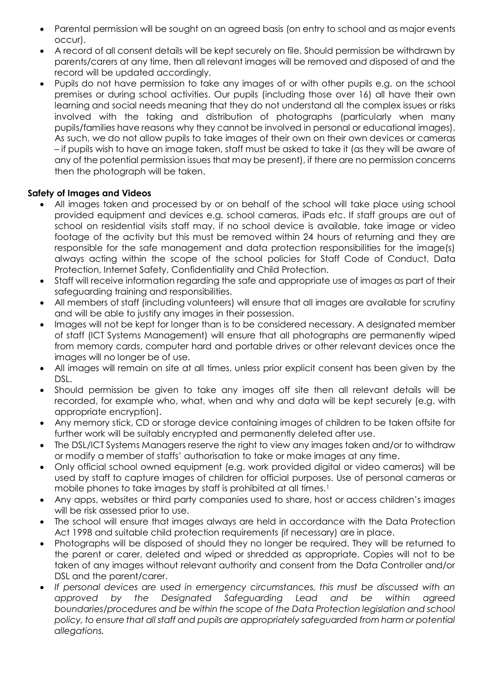- Parental permission will be sought on an agreed basis (on entry to school and as major events occur).
- A record of all consent details will be kept securely on file. Should permission be withdrawn by parents/carers at any time, then all relevant images will be removed and disposed of and the record will be updated accordingly.
- Pupils do not have permission to take any images of or with other pupils e.g. on the school premises or during school activities. Our pupils (including those over 16) all have their own learning and social needs meaning that they do not understand all the complex issues or risks involved with the taking and distribution of photographs (particularly when many pupils/families have reasons why they cannot be involved in personal or educational images). As such, we do not allow pupils to take images of their own on their own devices or cameras – if pupils wish to have an image taken, staff must be asked to take it (as they will be aware of any of the potential permission issues that may be present), if there are no permission concerns then the photograph will be taken.

# **Safety of Images and Videos**

- All images taken and processed by or on behalf of the school will take place using school provided equipment and devices e.g. school cameras, iPads etc. If staff groups are out of school on residential visits staff may, if no school device is available, take image or video footage of the activity but this must be removed within 24 hours of returning and they are responsible for the safe management and data protection responsibilities for the image(s) always acting within the scope of the school policies for Staff Code of Conduct, Data Protection, Internet Safety, Confidentiality and Child Protection.
- Staff will receive information regarding the safe and appropriate use of images as part of their safeguarding training and responsibilities.
- All members of staff (including volunteers) will ensure that all images are available for scrutiny and will be able to justify any images in their possession.
- Images will not be kept for longer than is to be considered necessary. A designated member of staff (ICT Systems Management) will ensure that all photographs are permanently wiped from memory cards, computer hard and portable drives or other relevant devices once the images will no longer be of use.
- All images will remain on site at all times, unless prior explicit consent has been given by the DSL.
- Should permission be given to take any images off site then all relevant details will be recorded, for example who, what, when and why and data will be kept securely (e.g. with appropriate encryption).
- Any memory stick, CD or storage device containing images of children to be taken offsite for further work will be suitably encrypted and permanently deleted after use.
- The DSL/ICT Systems Managers reserve the right to view any images taken and/or to withdraw or modify a member of staffs' authorisation to take or make images at any time.
- Only official school owned equipment (e.g. work provided digital or video cameras) will be used by staff to capture images of children for official purposes. Use of personal cameras or mobile phones to take images by staff is prohibited at all times.<sup>1</sup>
- Any apps, websites or third party companies used to share, host or access children's images will be risk assessed prior to use.
- The school will ensure that images always are held in accordance with the Data Protection Act 1998 and suitable child protection requirements (if necessary) are in place.
- Photographs will be disposed of should they no longer be required. They will be returned to the parent or carer, deleted and wiped or shredded as appropriate. Copies will not to be taken of any images without relevant authority and consent from the Data Controller and/or DSL and the parent/carer.
- *If personal devices are used in emergency circumstances, this must be discussed with an approved by the Designated Safeguarding Lead and be within agreed boundaries/procedures and be within the scope of the Data Protection legislation and school*  policy, to ensure that all staff and pupils are appropriately safeguarded from harm or potential *allegations.*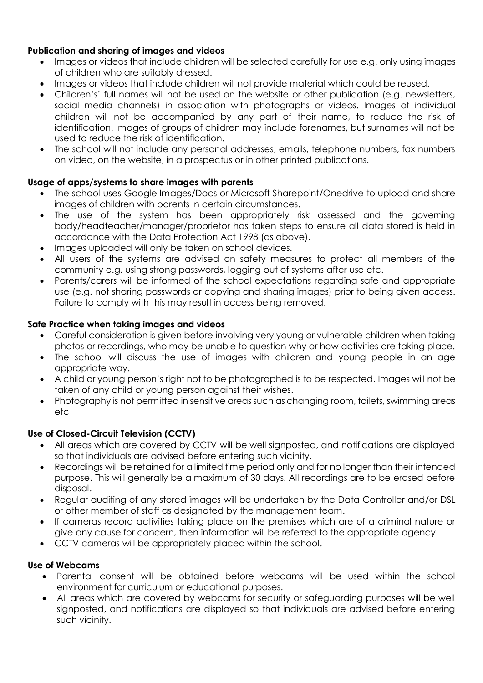## **Publication and sharing of images and videos**

- Images or videos that include children will be selected carefully for use e.g. only using images of children who are suitably dressed.
- Images or videos that include children will not provide material which could be reused.
- Children's' full names will not be used on the website or other publication (e.g. newsletters, social media channels) in association with photographs or videos. Images of individual children will not be accompanied by any part of their name, to reduce the risk of identification. Images of groups of children may include forenames, but surnames will not be used to reduce the risk of identification.
- The school will not include any personal addresses, emails, telephone numbers, fax numbers on video, on the website, in a prospectus or in other printed publications.

# **Usage of apps/systems to share images with parents**

- The school uses Google Images/Docs or Microsoft Sharepoint/Onedrive to upload and share images of children with parents in certain circumstances.
- The use of the system has been appropriately risk assessed and the governing body/headteacher/manager/proprietor has taken steps to ensure all data stored is held in accordance with the Data Protection Act 1998 (as above).
- Images uploaded will only be taken on school devices.
- All users of the systems are advised on safety measures to protect all members of the community e.g. using strong passwords, logging out of systems after use etc.
- Parents/carers will be informed of the school expectations regarding safe and appropriate use (e.g. not sharing passwords or copying and sharing images) prior to being given access. Failure to comply with this may result in access being removed.

### **Safe Practice when taking images and videos**

- Careful consideration is given before involving very young or vulnerable children when taking photos or recordings, who may be unable to question why or how activities are taking place.
- The school will discuss the use of images with children and young people in an age appropriate way.
- A child or young person's right not to be photographed is to be respected. Images will not be taken of any child or young person against their wishes.
- Photography is not permitted in sensitive areas such as changing room, toilets, swimming areas etc

### **Use of Closed-Circuit Television (CCTV)**

- All areas which are covered by CCTV will be well signposted, and notifications are displayed so that individuals are advised before entering such vicinity.
- Recordings will be retained for a limited time period only and for no longer than their intended purpose. This will generally be a maximum of 30 days. All recordings are to be erased before disposal.
- Regular auditing of any stored images will be undertaken by the Data Controller and/or DSL or other member of staff as designated by the management team.
- If cameras record activities taking place on the premises which are of a criminal nature or give any cause for concern, then information will be referred to the appropriate agency.
- CCTV cameras will be appropriately placed within the school.

### **Use of Webcams**

- Parental consent will be obtained before webcams will be used within the school environment for curriculum or educational purposes.
- All areas which are covered by webcams for security or safeguarding purposes will be well signposted, and notifications are displayed so that individuals are advised before entering such vicinity.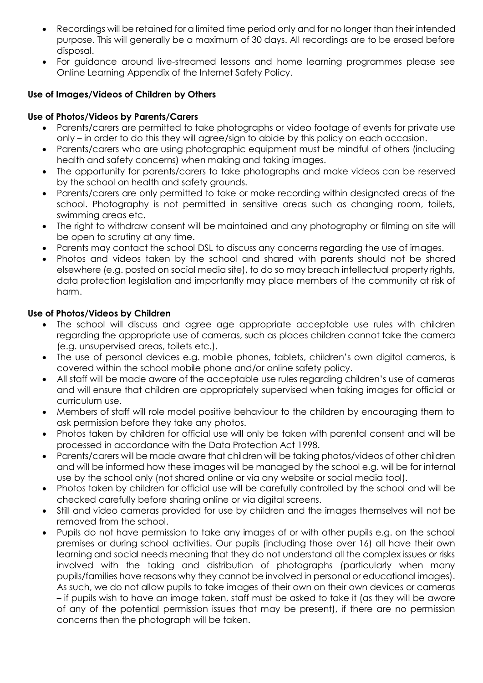- Recordings will be retained for a limited time period only and for no longer than their intended purpose. This will generally be a maximum of 30 days. All recordings are to be erased before disposal.
- For guidance around live-streamed lessons and home learning programmes please see Online Learning Appendix of the Internet Safety Policy.

# **Use of Images/Videos of Children by Others**

# **Use of Photos/Videos by Parents/Carers**

- Parents/carers are permitted to take photographs or video footage of events for private use only – in order to do this they will agree/sign to abide by this policy on each occasion.
- Parents/carers who are using photographic equipment must be mindful of others (including health and safety concerns) when making and taking images.
- The opportunity for parents/carers to take photographs and make videos can be reserved by the school on health and safety grounds.
- Parents/carers are only permitted to take or make recording within designated areas of the school. Photography is not permitted in sensitive areas such as changing room, toilets, swimming areas etc.
- The right to withdraw consent will be maintained and any photography or filming on site will be open to scrutiny at any time.
- Parents may contact the school DSL to discuss any concerns regarding the use of images.
- Photos and videos taken by the school and shared with parents should not be shared elsewhere (e.g. posted on social media site), to do so may breach intellectual property rights, data protection legislation and importantly may place members of the community at risk of harm.

# **Use of Photos/Videos by Children**

- The school will discuss and agree age appropriate acceptable use rules with children regarding the appropriate use of cameras, such as places children cannot take the camera (e.g. unsupervised areas, toilets etc.).
- The use of personal devices e.g. mobile phones, tablets, children's own digital cameras, is covered within the school mobile phone and/or online safety policy.
- All staff will be made aware of the acceptable use rules regarding children's use of cameras and will ensure that children are appropriately supervised when taking images for official or curriculum use.
- Members of staff will role model positive behaviour to the children by encouraging them to ask permission before they take any photos.
- Photos taken by children for official use will only be taken with parental consent and will be processed in accordance with the Data Protection Act 1998.
- Parents/carers will be made aware that children will be taking photos/videos of other children and will be informed how these images will be managed by the school e.g. will be for internal use by the school only (not shared online or via any website or social media tool).
- Photos taken by children for official use will be carefully controlled by the school and will be checked carefully before sharing online or via digital screens.
- Still and video cameras provided for use by children and the images themselves will not be removed from the school.
- Pupils do not have permission to take any images of or with other pupils e.g. on the school premises or during school activities. Our pupils (including those over 16) all have their own learning and social needs meaning that they do not understand all the complex issues or risks involved with the taking and distribution of photographs (particularly when many pupils/families have reasons why they cannot be involved in personal or educational images). As such, we do not allow pupils to take images of their own on their own devices or cameras – if pupils wish to have an image taken, staff must be asked to take it (as they will be aware of any of the potential permission issues that may be present), if there are no permission concerns then the photograph will be taken.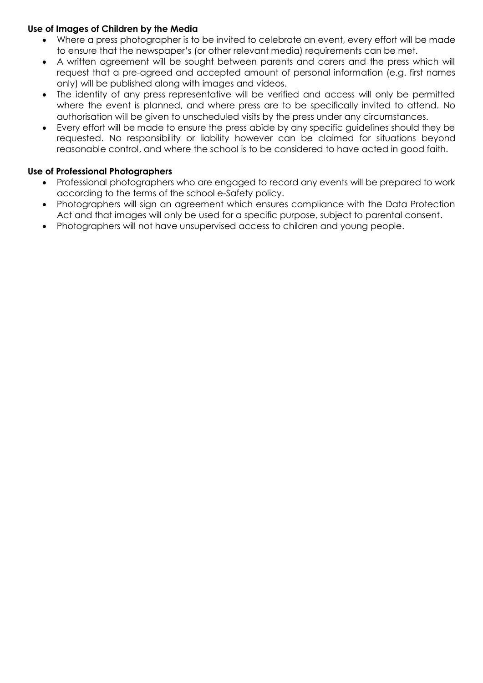## **Use of Images of Children by the Media**

- Where a press photographer is to be invited to celebrate an event, every effort will be made to ensure that the newspaper's (or other relevant media) requirements can be met.
- A written agreement will be sought between parents and carers and the press which will request that a pre-agreed and accepted amount of personal information (e.g. first names only) will be published along with images and videos.
- The identity of any press representative will be verified and access will only be permitted where the event is planned, and where press are to be specifically invited to attend. No authorisation will be given to unscheduled visits by the press under any circumstances.
- Every effort will be made to ensure the press abide by any specific guidelines should they be requested. No responsibility or liability however can be claimed for situations beyond reasonable control, and where the school is to be considered to have acted in good faith.

# **Use of Professional Photographers**

- Professional photographers who are engaged to record any events will be prepared to work according to the terms of the school e-Safety policy.
- Photographers will sign an agreement which ensures compliance with the Data Protection Act and that images will only be used for a specific purpose, subject to parental consent.
- Photographers will not have unsupervised access to children and young people.